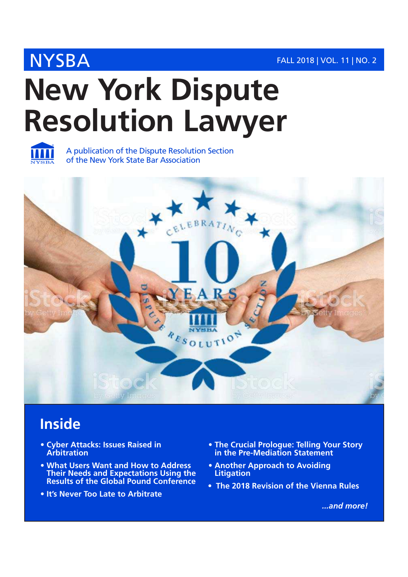## NYSBA FALL 2018 | VOL. 11 | NO. 2

# **New York Dispute Resolution Lawyer**



A publication of the Dispute Resolution Section of the New York State Bar Association



## **Inside**

- **Cyber Attacks: Issues Raised in Arbitration**
- **What Users Want and How to Address Their Needs and Expectations Using the Results of the Global Pound Conference**
- **It's Never Too Late to Arbitrate**
- **The Crucial Prologue: Telling Your Story in the Pre-Mediation Statement**
- **Another Approach to Avoiding Litigation**
- **The 2018 Revision of the Vienna Rules**

*...and more!*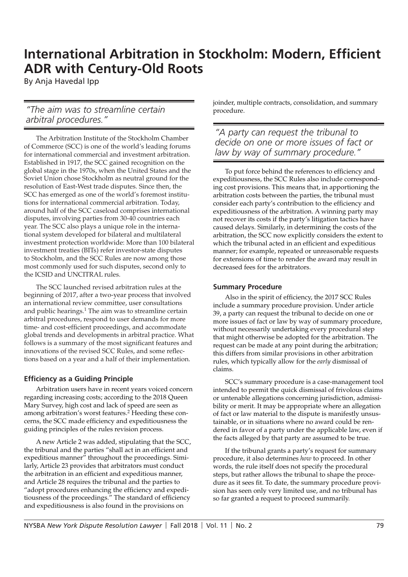## **International Arbitration in Stockholm: Modern, Efficient ADR with Century-Old Roots**

By Anja Havedal Ipp

#### *"The aim was to streamline certain arbitral procedures."*

The Arbitration Institute of the Stockholm Chamber of Commerce (SCC) is one of the world's leading forums for international commercial and investment arbitration. Established in 1917, the SCC gained recognition on the global stage in the 1970s, when the United States and the Soviet Union chose Stockholm as neutral ground for the resolution of East-West trade disputes. Since then, the SCC has emerged as one of the world's foremost institutions for international commercial arbitration. Today, around half of the SCC caseload comprises international disputes, involving parties from 30-40 countries each year. The SCC also plays a unique role in the international system developed for bilateral and multilateral investment protection worldwide: More than 100 bilateral investment treaties (BITs) refer investor-state disputes to Stockholm, and the SCC Rules are now among those most commonly used for such disputes, second only to the ICSID and UNCITRAL rules.

The SCC launched revised arbitration rules at the beginning of 2017, after a two-year process that involved an international review committee, user consultations and public hearings.<sup>1</sup> The aim was to streamline certain arbitral procedures, respond to user demands for more time- and cost-efficient proceedings, and accommodate global trends and developments in arbitral practice. What follows is a summary of the most significant features and innovations of the revised SCC Rules, and some reflections based on a year and a half of their implementation.

#### **Effi ciency as a Guiding Principle**

Arbitration users have in recent years voiced concern regarding increasing costs; according to the 2018 Queen Mary Survey, high cost and lack of speed are seen as among arbitration's worst features.<sup>2</sup> Heeding these concerns, the SCC made efficiency and expeditiousness the guiding principles of the rules revision process.

A new Article 2 was added, stipulating that the SCC, the tribunal and the parties "shall act in an efficient and expeditious manner" throughout the proceedings. Similarly, Article 23 provides that arbitrators must conduct the arbitration in an efficient and expeditious manner, and Article 28 requires the tribunal and the parties to "adopt procedures enhancing the efficiency and expeditiousness of the proceedings." The standard of efficiency and expeditiousness is also found in the provisions on

joinder, multiple contracts, consolidation, and summary procedure.

*"A party can request the tribunal to decide on one or more issues of fact or law by way of summary procedure."*

To put force behind the references to efficiency and expeditiousness, the SCC Rules also include corresponding cost provisions. This means that, in apportioning the arbitration costs between the parties, the tribunal must consider each party's contribution to the efficiency and expeditiousness of the arbitration. A winning party may not recover its costs if the party's litigation tactics have caused delays. Similarly, in determining the costs of the arbitration, the SCC now explicitly considers the extent to which the tribunal acted in an efficient and expeditious manner; for example, repeated or unreasonable requests for extensions of time to render the award may result in decreased fees for the arbitrators.

#### **Summary Procedure**

Also in the spirit of efficiency, the 2017 SCC Rules include a summary procedure provision. Under article 39, a party can request the tribunal to decide on one or more issues of fact or law by way of summary procedure, without necessarily undertaking every procedural step that might otherwise be adopted for the arbitration. The request can be made at any point during the arbitration; this differs from similar provisions in other arbitration rules, which typically allow for the *early* dismissal of claims.

SCC's summary procedure is a case-management tool intended to permit the quick dismissal of frivolous claims or untenable allegations concerning jurisdiction, admissibility or merit. It may be appropriate where an allegation of fact or law material to the dispute is manifestly unsustainable, or in situations where no award could be rendered in favor of a party under the applicable law, even if the facts alleged by that party are assumed to be true.

If the tribunal grants a party's request for summary procedure, it also determines *how* to proceed. In other words, the rule itself does not specify the procedural steps, but rather allows the tribunal to shape the procedure as it sees fit. To date, the summary procedure provision has seen only very limited use, and no tribunal has so far granted a request to proceed summarily.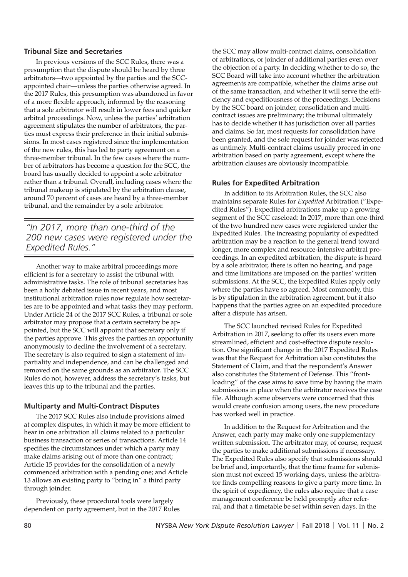#### **Tribunal Size and Secretaries**

In previous versions of the SCC Rules, there was a presumption that the dispute should be heard by three arbitrators—two appointed by the parties and the SCCappointed chair—unless the parties otherwise agreed. In the 2017 Rules, this presumption was abandoned in favor of a more flexible approach, informed by the reasoning that a sole arbitrator will result in lower fees and quicker arbitral proceedings. Now, unless the parties' arbitration agreement stipulates the number of arbitrators, the parties must express their preference in their initial submissions. In most cases registered since the implementation of the new rules, this has led to party agreement on a three-member tribunal. In the few cases where the number of arbitrators has become a question for the SCC, the board has usually decided to appoint a sole arbitrator rather than a tribunal. Overall, including cases where the tribunal makeup is stipulated by the arbitration clause, around 70 percent of cases are heard by a three-member tribunal, and the remainder by a sole arbitrator.

*"In 2017, more than one-third of the 200 new cases were registered under the Expedited Rules."*

Another way to make arbitral proceedings more efficient is for a secretary to assist the tribunal with administrative tasks. The role of tribunal secretaries has been a hotly debated issue in recent years, and most institutional arbitration rules now regulate how secretaries are to be appointed and what tasks they may perform. Under Article 24 of the 2017 SCC Rules, a tribunal or sole arbitrator may propose that a certain secretary be appointed, but the SCC will appoint that secretary only if the parties approve. This gives the parties an opportunity anonymously to decline the involvement of a secretary. The secretary is also required to sign a statement of impartiality and independence, and can be challenged and removed on the same grounds as an arbitrator. The SCC Rules do not, however, address the secretary's tasks, but leaves this up to the tribunal and the parties.

#### **Multiparty and Multi-Contract Disputes**

The 2017 SCC Rules also include provisions aimed at complex disputes, in which it may be more efficient to hear in one arbitration all claims related to a particular business transaction or series of transactions. Article 14 specifies the circumstances under which a party may make claims arising out of more than one contract; Article 15 provides for the consolidation of a newly commenced arbitration with a pending one; and Article 13 allows an existing party to "bring in" a third party through joinder.

Previously, these procedural tools were largely dependent on party agreement, but in the 2017 Rules the SCC may allow multi-contract claims, consolidation of arbitrations, or joinder of additional parties even over the objection of a party. In deciding whether to do so, the SCC Board will take into account whether the arbitration agreements are compatible, whether the claims arise out of the same transaction, and whether it will serve the efficiency and expeditiousness of the proceedings. Decisions by the SCC board on joinder, consolidation and multicontract issues are preliminary; the tribunal ultimately has to decide whether it has jurisdiction over all parties and claims. So far, most requests for consolidation have been granted, and the sole request for joinder was rejected as untimely. Multi-contract claims usually proceed in one arbitration based on party agreement, except where the arbitration clauses are obviously incompatible.

#### **Rules for Expedited Arbitration**

In addition to its Arbitration Rules, the SCC also maintains separate Rules for *Expedited* Arbitration ("Expedited Rules"). Expedited arbitrations make up a growing segment of the SCC caseload: In 2017, more than one-third of the two hundred new cases were registered under the Expedited Rules. The increasing popularity of expedited arbitration may be a reaction to the general trend toward longer, more complex and resource-intensive arbitral proceedings. In an expedited arbitration, the dispute is heard by a sole arbitrator, there is often no hearing, and page and time limitations are imposed on the parties' written submissions. At the SCC, the Expedited Rules apply only where the parties have so agreed. Most commonly, this is by stipulation in the arbitration agreement, but it also happens that the parties agree on an expedited procedure after a dispute has arisen.

The SCC launched revised Rules for Expedited Arbitration in 2017, seeking to offer its users even more streamlined, efficient and cost-effective dispute resolution. One significant change in the 2017 Expedited Rules was that the Request for Arbitration also constitutes the Statement of Claim, and that the respondent's Answer also constitutes the Statement of Defense. This "frontloading" of the case aims to save time by having the main submissions in place when the arbitrator receives the case file. Although some observers were concerned that this would create confusion among users, the new procedure has worked well in practice.

In addition to the Request for Arbitration and the Answer, each party may make only one supplementary written submission. The arbitrator may, of course, request the parties to make additional submissions if necessary. The Expedited Rules also specify that submissions should be brief and, importantly, that the time frame for submission must not exceed 15 working days, unless the arbitrator finds compelling reasons to give a party more time. In the spirit of expediency, the rules also require that a case management conference be held promptly after referral, and that a timetable be set within seven days. In the